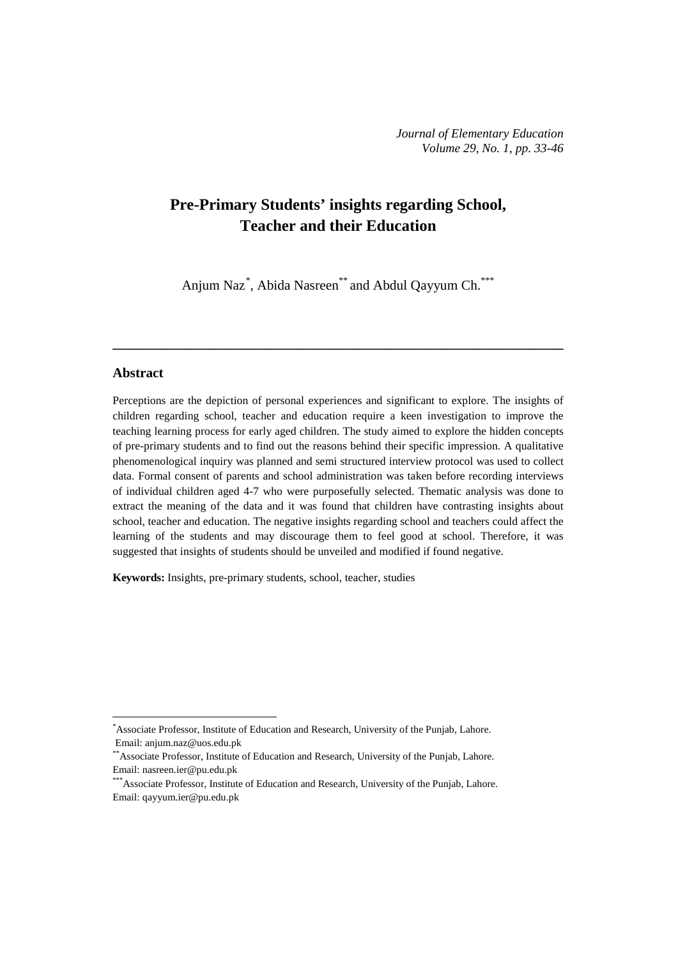# **Pre-Primary Students' insights regarding School, Teacher and their Education**

Anjum Naz<sup>[\\*](#page-0-0)</sup>, Abida Nasreen<sup>\*\*</sup> and Abdul Qayyum Ch.<sup>\*\*\*</sup>

**\_\_\_\_\_\_\_\_\_\_\_\_\_\_\_\_\_\_\_\_\_\_\_\_\_\_\_\_\_\_\_\_\_\_\_\_\_\_\_\_\_\_\_\_\_\_\_\_\_\_\_\_\_\_\_\_\_\_\_\_\_\_\_\_\_\_**

## **Abstract**

 $\overline{a}$ 

Perceptions are the depiction of personal experiences and significant to explore. The insights of children regarding school, teacher and education require a keen investigation to improve the teaching learning process for early aged children. The study aimed to explore the hidden concepts of pre-primary students and to find out the reasons behind their specific impression. A qualitative phenomenological inquiry was planned and semi structured interview protocol was used to collect data. Formal consent of parents and school administration was taken before recording interviews of individual children aged 4-7 who were purposefully selected. Thematic analysis was done to extract the meaning of the data and it was found that children have contrasting insights about school, teacher and education. The negative insights regarding school and teachers could affect the learning of the students and may discourage them to feel good at school. Therefore, it was suggested that insights of students should be unveiled and modified if found negative.

**Keywords:** Insights, pre-primary students, school, teacher, studies

<span id="page-0-0"></span><sup>\*</sup> Associate Professor, Institute of Education and Research, University of the Punjab, Lahore. Email[: anjum.naz@uos.edu.pk](mailto:anjum.naz@uos.edu.pk)

<sup>\*\*</sup>Associate Professor, Institute of Education and Research, University of the Punjab, Lahore. Email: [nasreen.ier@pu.edu.pk](mailto:nasreen.ier@pu.edu.pk)

<sup>\*\*\*</sup>Associate Professor, Institute of Education and Research, University of the Punjab, Lahore. Email: [qayyum.ier@pu.edu.pk](mailto:qayyum.ier@pu.edu.pk)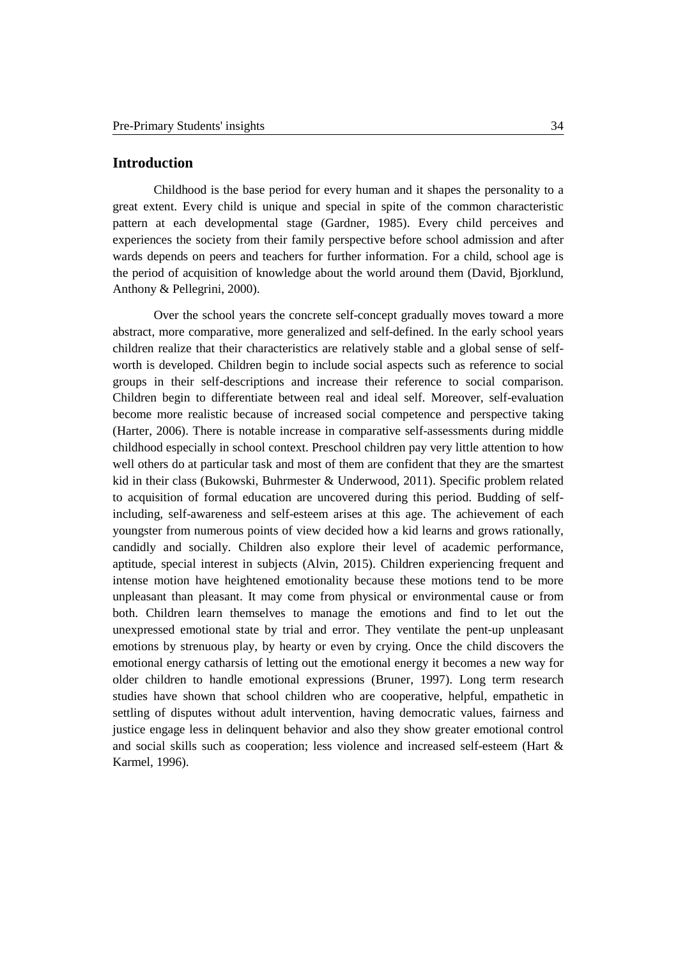## **Introduction**

Childhood is the base period for every human and it shapes the personality to a great extent. Every child is unique and special in spite of the common characteristic pattern at each developmental stage (Gardner, 1985). Every child perceives and experiences the society from their family perspective before school admission and after wards depends on peers and teachers for further information. For a child, school age is the period of acquisition of knowledge about the world around them (David, Bjorklund, Anthony & Pellegrini, 2000).

Over the school years the concrete self-concept gradually moves toward a more abstract, more comparative, more generalized and self-defined. In the early school years children realize that their characteristics are relatively stable and a global sense of selfworth is developed. Children begin to include social aspects such as reference to social groups in their self-descriptions and increase their reference to social comparison. Children begin to differentiate between real and ideal self. Moreover, self-evaluation become more realistic because of increased social competence and perspective taking (Harter, 2006). There is notable increase in comparative self-assessments during middle childhood especially in school context. Preschool children pay very little attention to how well others do at particular task and most of them are confident that they are the smartest kid in their class (Bukowski, Buhrmester & Underwood, 2011). Specific problem related to acquisition of formal education are uncovered during this period. Budding of selfincluding, self-awareness and self-esteem arises at this age. The achievement of each youngster from numerous points of view decided how a kid learns and grows rationally, candidly and socially. Children also explore their level of academic performance, aptitude, special interest in subjects (Alvin, 2015). Children experiencing frequent and intense motion have heightened emotionality because these motions tend to be more unpleasant than pleasant. It may come from physical or environmental cause or from both. Children learn themselves to manage the emotions and find to let out the unexpressed emotional state by trial and error. They ventilate the pent-up unpleasant emotions by strenuous play, by hearty or even by crying. Once the child discovers the emotional energy catharsis of letting out the emotional energy it becomes a new way for older children to handle emotional expressions (Bruner, 1997). Long term research studies have shown that school children who are cooperative, helpful, empathetic in settling of disputes without adult intervention, having democratic values, fairness and justice engage less in delinquent behavior and also they show greater emotional control and social skills such as cooperation; less violence and increased self-esteem (Hart & Karmel, 1996).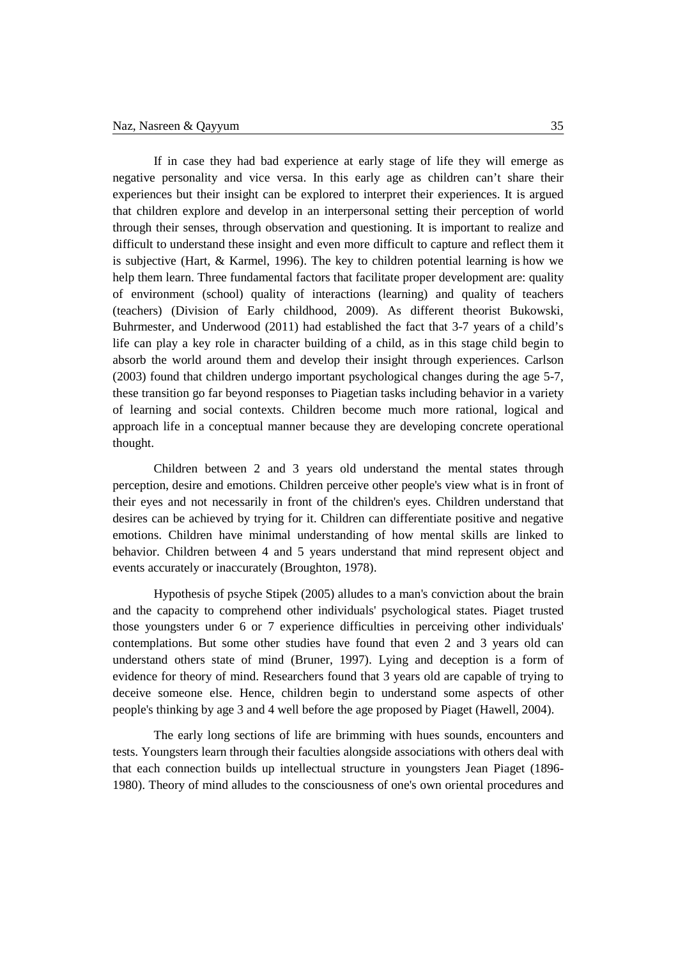If in case they had bad experience at early stage of life they will emerge as negative personality and vice versa. In this early age as children can't share their experiences but their insight can be explored to interpret their experiences. It is argued that children explore and develop in an interpersonal setting their perception of world through their senses, through observation and questioning. It is important to realize and difficult to understand these insight and even more difficult to capture and reflect them it is subjective (Hart, & Karmel, 1996). The key to children potential learning is how we help them learn. Three fundamental factors that facilitate proper development are: quality of environment (school) quality of interactions (learning) and quality of teachers (teachers) (Division of Early childhood, 2009). As different theorist Bukowski, Buhrmester, and Underwood (2011) had established the fact that 3-7 years of a child's life can play a key role in character building of a child, as in this stage child begin to absorb the world around them and develop their insight through experiences. Carlson (2003) found that children undergo important psychological changes during the age 5-7, these transition go far beyond responses to Piagetian tasks including behavior in a variety of learning and social contexts. Children become much more rational, logical and approach life in a conceptual manner because they are developing concrete operational thought.

Children between 2 and 3 years old understand the mental states through perception, desire and emotions. Children perceive other people's view what is in front of their eyes and not necessarily in front of the children's eyes. Children understand that desires can be achieved by trying for it. Children can differentiate positive and negative emotions. Children have minimal understanding of how mental skills are linked to behavior. Children between 4 and 5 years understand that mind represent object and events accurately or inaccurately (Broughton, 1978).

Hypothesis of psyche Stipek (2005) alludes to a man's conviction about the brain and the capacity to comprehend other individuals' psychological states. Piaget trusted those youngsters under 6 or 7 experience difficulties in perceiving other individuals' contemplations. But some other studies have found that even 2 and 3 years old can understand others state of mind (Bruner, 1997). Lying and deception is a form of evidence for theory of mind. Researchers found that 3 years old are capable of trying to deceive someone else. Hence, children begin to understand some aspects of other people's thinking by age 3 and 4 well before the age proposed by Piaget (Hawell, 2004).

The early long sections of life are brimming with hues sounds, encounters and tests. Youngsters learn through their faculties alongside associations with others deal with that each connection builds up intellectual structure in youngsters Jean Piaget (1896- 1980). Theory of mind alludes to the consciousness of one's own oriental procedures and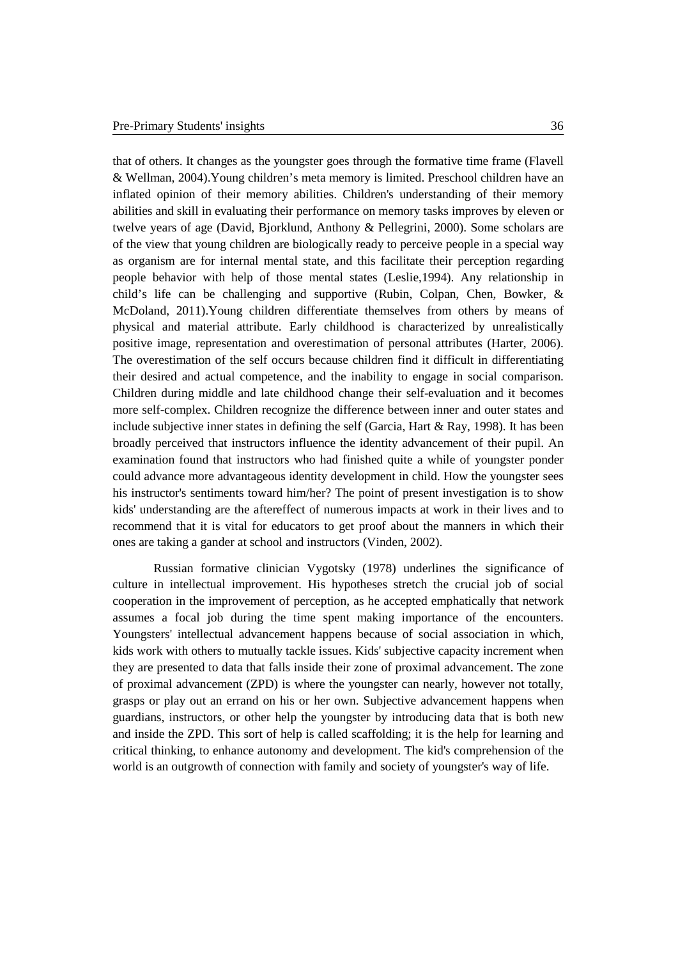that of others. It changes as the youngster goes through the formative time frame (Flavell & Wellman, 2004).Young children's meta memory is limited. Preschool children have an inflated opinion of their memory abilities. Children's understanding of their memory abilities and skill in evaluating their performance on memory tasks improves by eleven or twelve years of age (David, Bjorklund, Anthony & Pellegrini, 2000). Some scholars are of the view that young children are biologically ready to perceive people in a special way as organism are for internal mental state, and this facilitate their perception regarding people behavior with help of those mental states (Leslie,1994). Any relationship in child's life can be challenging and supportive (Rubin, Colpan, Chen, Bowker, & McDoland, 2011).Young children differentiate themselves from others by means of physical and material attribute. Early childhood is characterized by unrealistically positive image, representation and overestimation of personal attributes (Harter, 2006). The overestimation of the self occurs because children find it difficult in differentiating their desired and actual competence, and the inability to engage in social comparison. Children during middle and late childhood change their self-evaluation and it becomes more self-complex. Children recognize the difference between inner and outer states and include subjective inner states in defining the self (Garcia, Hart & Ray, 1998). It has been broadly perceived that instructors influence the identity advancement of their pupil. An examination found that instructors who had finished quite a while of youngster ponder could advance more advantageous identity development in child. How the youngster sees his instructor's sentiments toward him/her? The point of present investigation is to show kids' understanding are the aftereffect of numerous impacts at work in their lives and to recommend that it is vital for educators to get proof about the manners in which their ones are taking a gander at school and instructors (Vinden, 2002).

Russian formative clinician Vygotsky (1978) underlines the significance of culture in intellectual improvement. His hypotheses stretch the crucial job of social cooperation in the improvement of perception, as he accepted emphatically that network assumes a focal job during the time spent making importance of the encounters. Youngsters' intellectual advancement happens because of social association in which, kids work with others to mutually tackle issues. Kids' subjective capacity increment when they are presented to data that falls inside their zone of proximal advancement. The zone of proximal advancement (ZPD) is where the youngster can nearly, however not totally, grasps or play out an errand on his or her own. Subjective advancement happens when guardians, instructors, or other help the youngster by introducing data that is both new and inside the ZPD. This sort of help is called scaffolding; it is the help for learning and critical thinking, to enhance autonomy and development. The kid's comprehension of the world is an outgrowth of connection with family and society of youngster's way of life.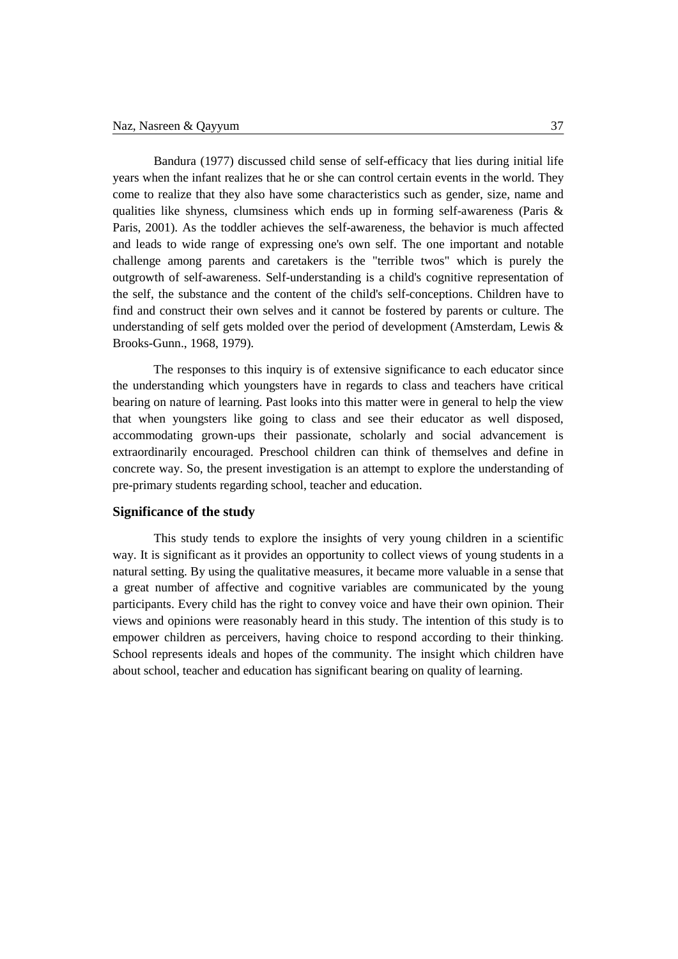Bandura (1977) discussed child sense of self-efficacy that lies during initial life years when the infant realizes that he or she can control certain events in the world. They come to realize that they also have some characteristics such as gender, size, name and qualities like shyness, clumsiness which ends up in forming self-awareness (Paris  $\&$ Paris, 2001). As the toddler achieves the self-awareness, the behavior is much affected and leads to wide range of expressing one's own self. The one important and notable challenge among parents and caretakers is the "terrible twos" which is purely the outgrowth of self-awareness. Self-understanding is a child's cognitive representation of the self, the substance and the content of the child's self-conceptions. Children have to find and construct their own selves and it cannot be fostered by parents or culture. The understanding of self gets molded over the period of development (Amsterdam, Lewis & Brooks-Gunn., 1968, 1979).

The responses to this inquiry is of extensive significance to each educator since the understanding which youngsters have in regards to class and teachers have critical bearing on nature of learning. Past looks into this matter were in general to help the view that when youngsters like going to class and see their educator as well disposed, accommodating grown-ups their passionate, scholarly and social advancement is extraordinarily encouraged. Preschool children can think of themselves and define in concrete way. So, the present investigation is an attempt to explore the understanding of pre-primary students regarding school, teacher and education.

## **Significance of the study**

This study tends to explore the insights of very young children in a scientific way. It is significant as it provides an opportunity to collect views of young students in a natural setting. By using the qualitative measures, it became more valuable in a sense that a great number of affective and cognitive variables are communicated by the young participants. Every child has the right to convey voice and have their own opinion. Their views and opinions were reasonably heard in this study. The intention of this study is to empower children as perceivers, having choice to respond according to their thinking. School represents ideals and hopes of the community. The insight which children have about school, teacher and education has significant bearing on quality of learning.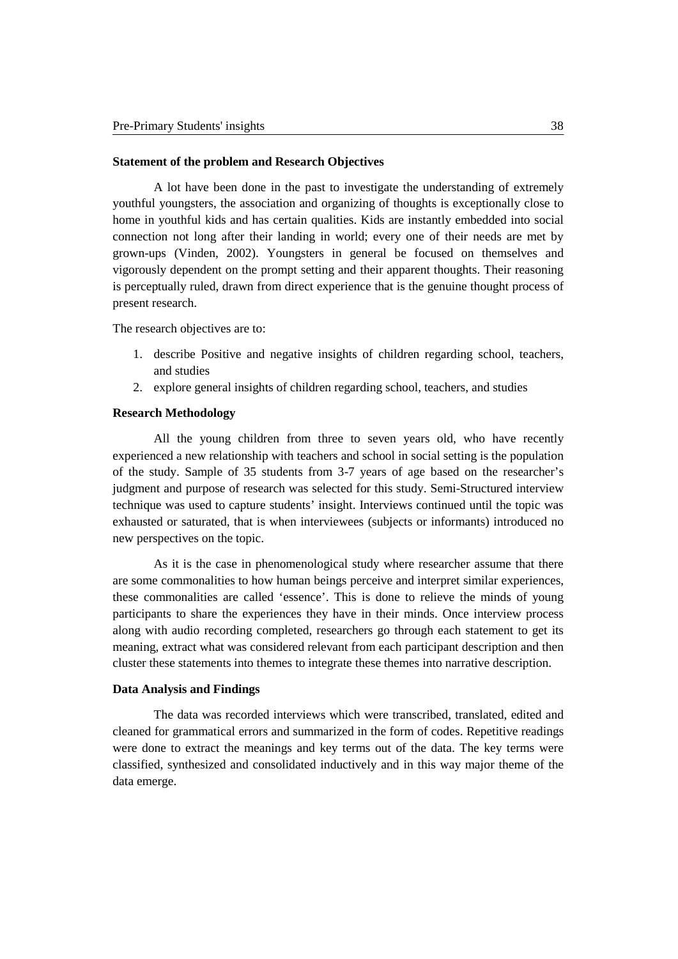### **Statement of the problem and Research Objectives**

A lot have been done in the past to investigate the understanding of extremely youthful youngsters, the association and organizing of thoughts is exceptionally close to home in youthful kids and has certain qualities. Kids are instantly embedded into social connection not long after their landing in world; every one of their needs are met by grown-ups (Vinden, 2002). Youngsters in general be focused on themselves and vigorously dependent on the prompt setting and their apparent thoughts. Their reasoning is perceptually ruled, drawn from direct experience that is the genuine thought process of present research.

The research objectives are to:

- 1. describe Positive and negative insights of children regarding school, teachers, and studies
- 2. explore general insights of children regarding school, teachers, and studies

#### **Research Methodology**

All the young children from three to seven years old, who have recently experienced a new relationship with teachers and school in social setting is the population of the study. Sample of 35 students from 3-7 years of age based on the researcher's judgment and purpose of research was selected for this study. Semi-Structured interview technique was used to capture students' insight. Interviews continued until the topic was exhausted or saturated, that is when interviewees (subjects or informants) introduced no new perspectives on the topic.

As it is the case in phenomenological study where researcher assume that there are some commonalities to how human beings perceive and interpret similar experiences, these commonalities are called 'essence'. This is done to relieve the minds of young participants to share the experiences they have in their minds. Once interview process along with audio recording completed, researchers go through each statement to get its meaning, extract what was considered relevant from each participant description and then cluster these statements into themes to integrate these themes into narrative description.

#### **Data Analysis and Findings**

The data was recorded interviews which were transcribed, translated, edited and cleaned for grammatical errors and summarized in the form of codes. Repetitive readings were done to extract the meanings and key terms out of the data. The key terms were classified, synthesized and consolidated inductively and in this way major theme of the data emerge.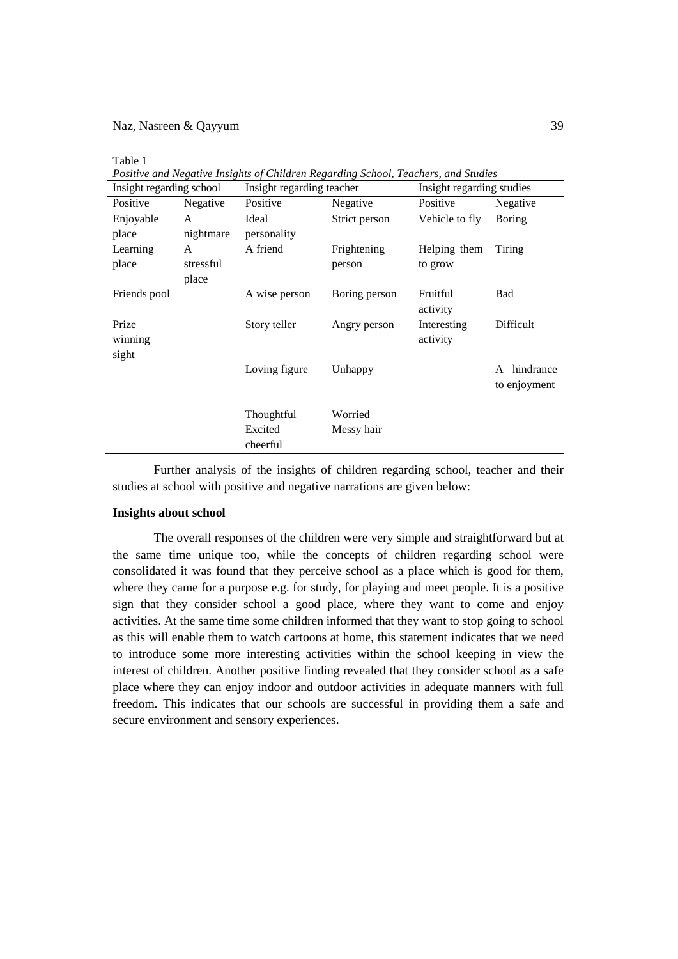| ×<br>×.<br>۰.<br>۰.<br>×<br>$\sim$ |
|------------------------------------|
|------------------------------------|

*Positive and Negative Insights of Children Regarding School, Teachers, and Studies*

| Insight regarding school |           | Insight regarding teacher |               | Insight regarding studies |                |
|--------------------------|-----------|---------------------------|---------------|---------------------------|----------------|
| Positive                 | Negative  | Positive                  | Negative      | Positive                  | Negative       |
| Enjoyable                | A         | Ideal                     | Strict person | Vehicle to fly            | Boring         |
| place                    | nightmare | personality               |               |                           |                |
| Learning                 | A         | A friend                  | Frightening   | Helping them              | Tiring         |
| place                    | stressful |                           | person        | to grow                   |                |
|                          | place     |                           |               |                           |                |
| Friends pool             |           | A wise person             | Boring person | Fruitful                  | Bad            |
|                          |           |                           |               | activity                  |                |
| Prize                    |           | Story teller              | Angry person  | Interesting               | Difficult      |
| winning                  |           |                           |               | activity                  |                |
| sight                    |           |                           |               |                           |                |
|                          |           | Loving figure             | Unhappy       |                           | hindrance<br>A |
|                          |           |                           |               |                           | to enjoyment   |
|                          |           |                           |               |                           |                |
|                          |           | Thoughtful                | Worried       |                           |                |
|                          |           | Excited                   | Messy hair    |                           |                |
|                          |           | cheerful                  |               |                           |                |

Further analysis of the insights of children regarding school, teacher and their studies at school with positive and negative narrations are given below:

#### **Insights about school**

The overall responses of the children were very simple and straightforward but at the same time unique too, while the concepts of children regarding school were consolidated it was found that they perceive school as a place which is good for them, where they came for a purpose e.g. for study, for playing and meet people. It is a positive sign that they consider school a good place, where they want to come and enjoy activities. At the same time some children informed that they want to stop going to school as this will enable them to watch cartoons at home, this statement indicates that we need to introduce some more interesting activities within the school keeping in view the interest of children. Another positive finding revealed that they consider school as a safe place where they can enjoy indoor and outdoor activities in adequate manners with full freedom. This indicates that our schools are successful in providing them a safe and secure environment and sensory experiences.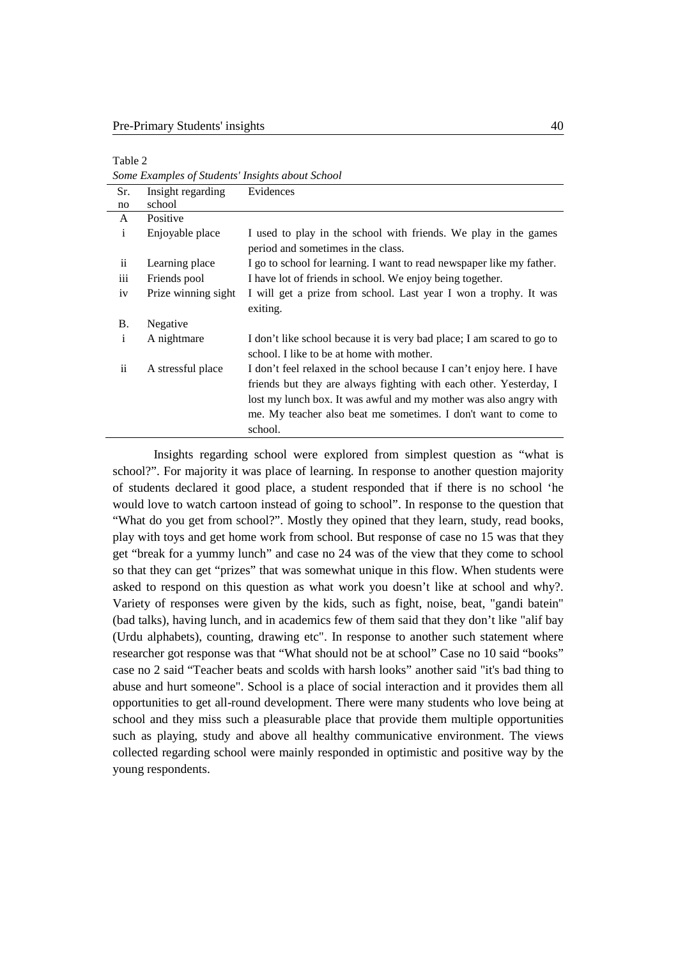| able |  |
|------|--|
|------|--|

*Some Examples of Students' Insights about School*

| Sr.                     | Insight regarding   | Evidences                                                                                                                                                                                                                                                                                     |
|-------------------------|---------------------|-----------------------------------------------------------------------------------------------------------------------------------------------------------------------------------------------------------------------------------------------------------------------------------------------|
| no                      | school              |                                                                                                                                                                                                                                                                                               |
| A                       | Positive            |                                                                                                                                                                                                                                                                                               |
| $\mathbf{i}$            | Enjoyable place     | I used to play in the school with friends. We play in the games<br>period and sometimes in the class.                                                                                                                                                                                         |
| $\overline{\mathbf{u}}$ | Learning place      | I go to school for learning. I want to read newspaper like my father.                                                                                                                                                                                                                         |
| iii                     | Friends pool        | I have lot of friends in school. We enjoy being together.                                                                                                                                                                                                                                     |
| iv                      | Prize winning sight | I will get a prize from school. Last year I won a trophy. It was<br>exiting.                                                                                                                                                                                                                  |
| В.                      | Negative            |                                                                                                                                                                                                                                                                                               |
| i                       | A nightmare         | I don't like school because it is very bad place; I am scared to go to<br>school. I like to be at home with mother.                                                                                                                                                                           |
| $\overline{\mathbf{u}}$ | A stressful place   | I don't feel relaxed in the school because I can't enjoy here. I have<br>friends but they are always fighting with each other. Yesterday, I<br>lost my lunch box. It was awful and my mother was also angry with<br>me. My teacher also beat me sometimes. I don't want to come to<br>school. |

Insights regarding school were explored from simplest question as "what is school?". For majority it was place of learning. In response to another question majority of students declared it good place, a student responded that if there is no school 'he would love to watch cartoon instead of going to school". In response to the question that "What do you get from school?". Mostly they opined that they learn, study, read books, play with toys and get home work from school. But response of case no 15 was that they get "break for a yummy lunch" and case no 24 was of the view that they come to school so that they can get "prizes" that was somewhat unique in this flow. When students were asked to respond on this question as what work you doesn't like at school and why?. Variety of responses were given by the kids, such as fight, noise, beat, "gandi batein" (bad talks), having lunch, and in academics few of them said that they don't like "alif bay (Urdu alphabets), counting, drawing etc". In response to another such statement where researcher got response was that "What should not be at school" Case no 10 said "books" case no 2 said "Teacher beats and scolds with harsh looks" another said "it's bad thing to abuse and hurt someone". School is a place of social interaction and it provides them all opportunities to get all-round development. There were many students who love being at school and they miss such a pleasurable place that provide them multiple opportunities such as playing, study and above all healthy communicative environment. The views collected regarding school were mainly responded in optimistic and positive way by the young respondents.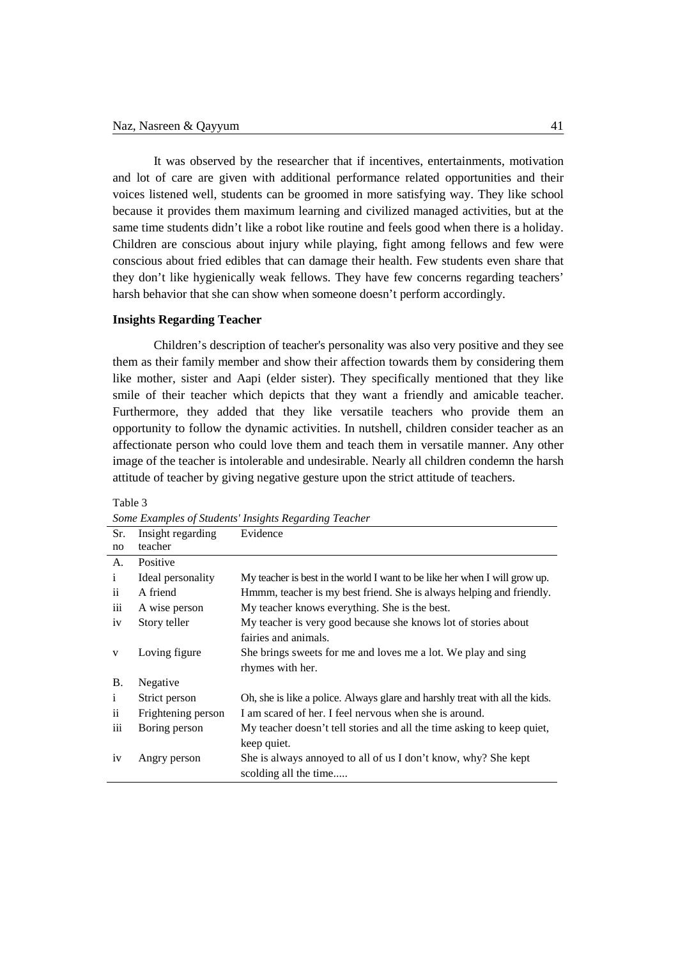It was observed by the researcher that if incentives, entertainments, motivation and lot of care are given with additional performance related opportunities and their voices listened well, students can be groomed in more satisfying way. They like school because it provides them maximum learning and civilized managed activities, but at the same time students didn't like a robot like routine and feels good when there is a holiday. Children are conscious about injury while playing, fight among fellows and few were conscious about fried edibles that can damage their health. Few students even share that they don't like hygienically weak fellows. They have few concerns regarding teachers' harsh behavior that she can show when someone doesn't perform accordingly.

## **Insights Regarding Teacher**

Children's description of teacher's personality was also very positive and they see them as their family member and show their affection towards them by considering them like mother, sister and Aapi (elder sister). They specifically mentioned that they like smile of their teacher which depicts that they want a friendly and amicable teacher. Furthermore, they added that they like versatile teachers who provide them an opportunity to follow the dynamic activities. In nutshell, children consider teacher as an affectionate person who could love them and teach them in versatile manner. Any other image of the teacher is intolerable and undesirable. Nearly all children condemn the harsh attitude of teacher by giving negative gesture upon the strict attitude of teachers.

| Sr.                 | Insight regarding  | Evidence                                                                    |
|---------------------|--------------------|-----------------------------------------------------------------------------|
| no                  | teacher            |                                                                             |
| A.                  | Positive           |                                                                             |
| $\mathbf{i}$        | Ideal personality  | My teacher is best in the world I want to be like her when I will grow up.  |
| $\ddot{\mathbf{i}}$ | A friend           | Hmmm, teacher is my best friend. She is always helping and friendly.        |
| iii                 | A wise person      | My teacher knows everything. She is the best.                               |
| iv                  | Story teller       | My teacher is very good because she knows lot of stories about              |
|                     |                    | fairies and animals.                                                        |
| V                   | Loving figure      | She brings sweets for me and loves me a lot. We play and sing               |
|                     |                    | rhymes with her.                                                            |
| <b>B.</b>           | Negative           |                                                                             |
| $\mathbf{i}$        | Strict person      | Oh, she is like a police. Always glare and harshly treat with all the kids. |
| $\ddot{\mathbf{i}}$ | Frightening person | I am scared of her. I feel nervous when she is around.                      |
| iii                 | Boring person      | My teacher doesn't tell stories and all the time asking to keep quiet,      |
|                     |                    | keep quiet.                                                                 |
| 1 <sub>V</sub>      | Angry person       | She is always annoyed to all of us I don't know, why? She kept              |
|                     |                    | scolding all the time                                                       |

Table 3

*Some Examples of Students' Insights Regarding Teacher*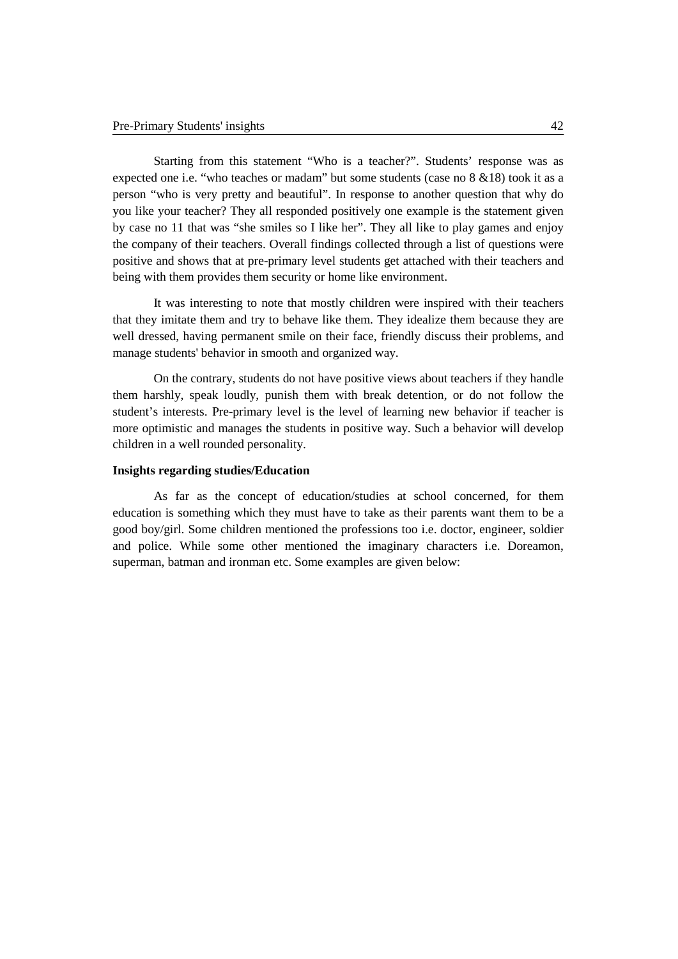Starting from this statement "Who is a teacher?". Students' response was as expected one i.e. "who teaches or madam" but some students (case no 8 &18) took it as a person "who is very pretty and beautiful". In response to another question that why do you like your teacher? They all responded positively one example is the statement given by case no 11 that was "she smiles so I like her". They all like to play games and enjoy the company of their teachers. Overall findings collected through a list of questions were positive and shows that at pre-primary level students get attached with their teachers and being with them provides them security or home like environment.

It was interesting to note that mostly children were inspired with their teachers that they imitate them and try to behave like them. They idealize them because they are well dressed, having permanent smile on their face, friendly discuss their problems, and manage students' behavior in smooth and organized way.

On the contrary, students do not have positive views about teachers if they handle them harshly, speak loudly, punish them with break detention, or do not follow the student's interests. Pre-primary level is the level of learning new behavior if teacher is more optimistic and manages the students in positive way. Such a behavior will develop children in a well rounded personality.

## **Insights regarding studies/Education**

As far as the concept of education/studies at school concerned, for them education is something which they must have to take as their parents want them to be a good boy/girl. Some children mentioned the professions too i.e. doctor, engineer, soldier and police. While some other mentioned the imaginary characters i.e. Doreamon, superman, batman and ironman etc. Some examples are given below: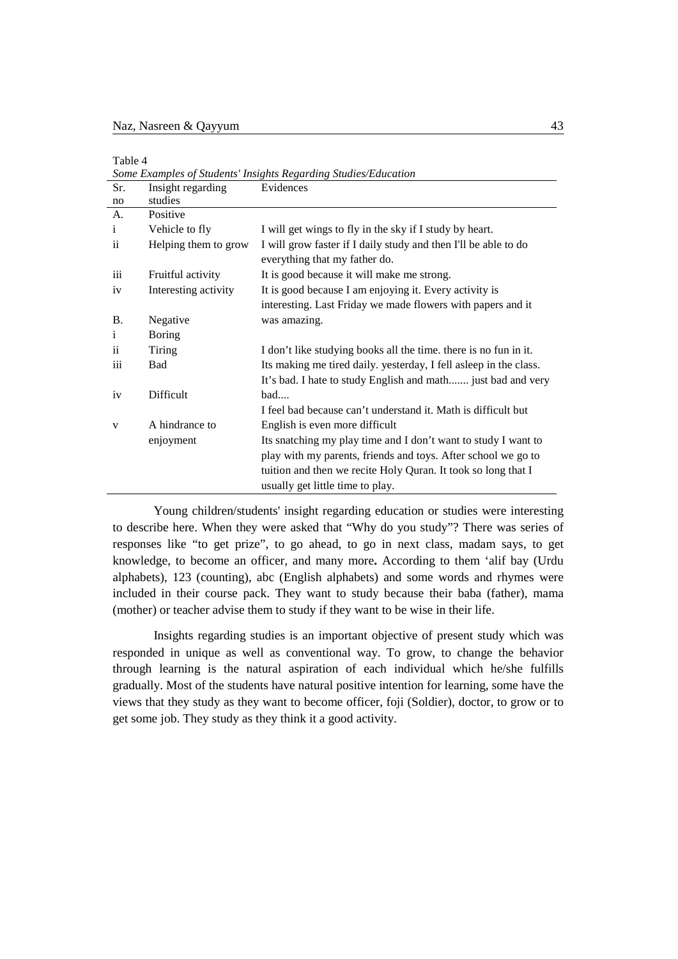| ۰. |  |
|----|--|
|----|--|

*Some Examples of Students' Insights Regarding Studies/Education* Sr. no Insight regarding studies Evidences A. i ii iii iv B. i ii iii iv v Positive Vehicle to fly Helping them to grow Fruitful activity Interesting activity Negative Boring Tiring Bad Difficult A hindrance to enjoyment I will get wings to fly in the sky if I study by heart. I will grow faster if I daily study and then I'll be able to do everything that my father do. It is good because it will make me strong. It is good because I am enjoying it. Every activity is interesting. Last Friday we made flowers with papers and it was amazing. I don't like studying books all the time. there is no fun in it. Its making me tired daily. yesterday, I fell asleep in the class. It's bad. I hate to study English and math....... just bad and very bad.... I feel bad because can't understand it. Math is difficult but English is even more difficult Its snatching my play time and I don't want to study I want to play with my parents, friends and toys. After school we go to tuition and then we recite Holy Quran. It took so long that I usually get little time to play.

Young children/students' insight regarding education or studies were interesting to describe here. When they were asked that "Why do you study"? There was series of responses like "to get prize", to go ahead, to go in next class, madam says, to get knowledge, to become an officer, and many more**.** According to them 'alif bay (Urdu alphabets), 123 (counting), abc (English alphabets) and some words and rhymes were included in their course pack. They want to study because their baba (father), mama (mother) or teacher advise them to study if they want to be wise in their life.

Insights regarding studies is an important objective of present study which was responded in unique as well as conventional way. To grow, to change the behavior through learning is the natural aspiration of each individual which he/she fulfills gradually. Most of the students have natural positive intention for learning, some have the views that they study as they want to become officer, foji (Soldier), doctor, to grow or to get some job. They study as they think it a good activity.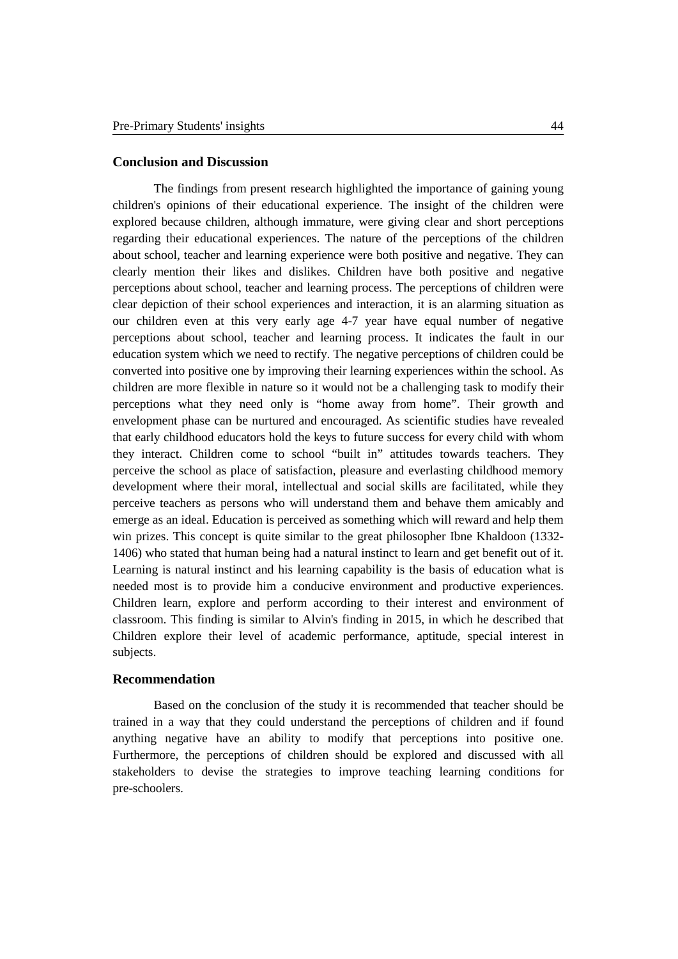## **Conclusion and Discussion**

The findings from present research highlighted the importance of gaining young children's opinions of their educational experience. The insight of the children were explored because children, although immature, were giving clear and short perceptions regarding their educational experiences. The nature of the perceptions of the children about school, teacher and learning experience were both positive and negative. They can clearly mention their likes and dislikes. Children have both positive and negative perceptions about school, teacher and learning process. The perceptions of children were clear depiction of their school experiences and interaction, it is an alarming situation as our children even at this very early age 4-7 year have equal number of negative perceptions about school, teacher and learning process. It indicates the fault in our education system which we need to rectify. The negative perceptions of children could be converted into positive one by improving their learning experiences within the school. As children are more flexible in nature so it would not be a challenging task to modify their perceptions what they need only is "home away from home". Their growth and envelopment phase can be nurtured and encouraged. As scientific studies have revealed that early childhood educators hold the keys to future success for every child with whom they interact. Children come to school "built in" attitudes towards teachers. They perceive the school as place of satisfaction, pleasure and everlasting childhood memory development where their moral, intellectual and social skills are facilitated, while they perceive teachers as persons who will understand them and behave them amicably and emerge as an ideal. Education is perceived as something which will reward and help them win prizes. This concept is quite similar to the great philosopher Ibne Khaldoon (1332- 1406) who stated that human being had a natural instinct to learn and get benefit out of it. Learning is natural instinct and his learning capability is the basis of education what is needed most is to provide him a conducive environment and productive experiences. Children learn, explore and perform according to their interest and environment of classroom. This finding is similar to Alvin's finding in 2015, in which he described that Children explore their level of academic performance, aptitude, special interest in subjects.

## **Recommendation**

Based on the conclusion of the study it is recommended that teacher should be trained in a way that they could understand the perceptions of children and if found anything negative have an ability to modify that perceptions into positive one. Furthermore, the perceptions of children should be explored and discussed with all stakeholders to devise the strategies to improve teaching learning conditions for pre-schoolers.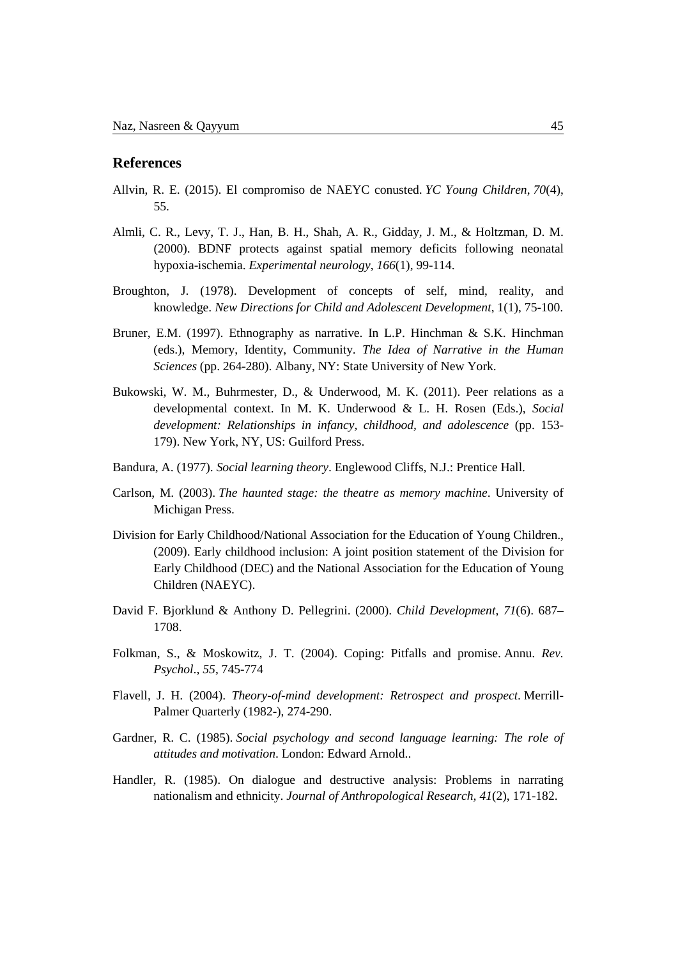## **References**

- Allvin, R. E. (2015). El compromiso de NAEYC conusted. *YC Young Children*, *70*(4), 55.
- Almli, C. R., Levy, T. J., Han, B. H., Shah, A. R., Gidday, J. M., & Holtzman, D. M. (2000). BDNF protects against spatial memory deficits following neonatal hypoxia-ischemia. *Experimental neurology*, *166*(1), 99-114.
- Broughton, J. (1978). Development of concepts of self, mind, reality, and knowledge. *New Directions for Child and Adolescent Development*, 1(1), 75-100.
- Bruner, E.M. (1997). Ethnography as narrative. In L.P. Hinchman & S.K. Hinchman (eds.), Memory, Identity, Community. *The Idea of Narrative in the Human Sciences* (pp. 264-280). Albany, NY: State University of New York.
- Bukowski, W. M., Buhrmester, D., & Underwood, M. K. (2011). Peer relations as a developmental context. In M. K. Underwood & L. H. Rosen (Eds.), *Social development: Relationships in infancy, childhood, and adolescence* (pp. 153- 179). New York, NY, US: Guilford Press.
- Bandura, A. (1977). *Social learning theory*. Englewood Cliffs, N.J.: Prentice Hall.
- Carlson, M. (2003). *The haunted stage: the theatre as memory machine*. University of Michigan Press.
- Division for Early Childhood/National Association for the Education of Young Children., (2009). Early childhood inclusion: A joint position statement of the Division for Early Childhood (DEC) and the National Association for the Education of Young Children (NAEYC).
- David F. Bjorklund & Anthony D. Pellegrini. (2000). *Child Development*, *71*(6). 687– 1708.
- Folkman, S., & Moskowitz, J. T. (2004). Coping: Pitfalls and promise. Annu. *Rev. Psychol*., *55*, 745-774
- Flavell, J. H. (2004). *Theory-of-mind development: Retrospect and prospect*. Merrill-Palmer Quarterly (1982-), 274-290.
- Gardner, R. C. (1985). *Social psychology and second language learning: The role of attitudes and motivation*. London: Edward Arnold..
- Handler, R. (1985). On dialogue and destructive analysis: Problems in narrating nationalism and ethnicity. *Journal of Anthropological Research, 41*(2), 171-182.